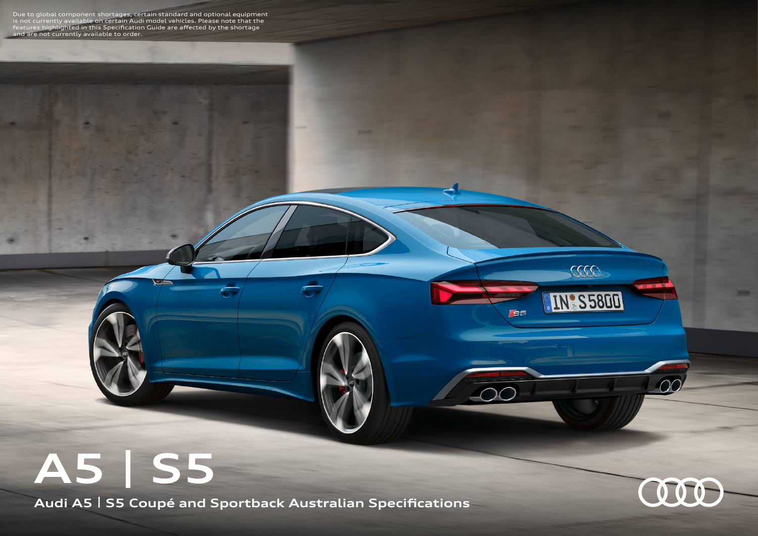Due to global component shortages, certain standard and optional equipment<br>is not currently available on certain Audi model vehicles. Please note that the<br>features highlighted in this Specification Guide are affected by th

# **A5 | S5**

**Audi A5 | S5 Coupé and Sportback Australian Specifications** 



coo

IN:S5800

**155**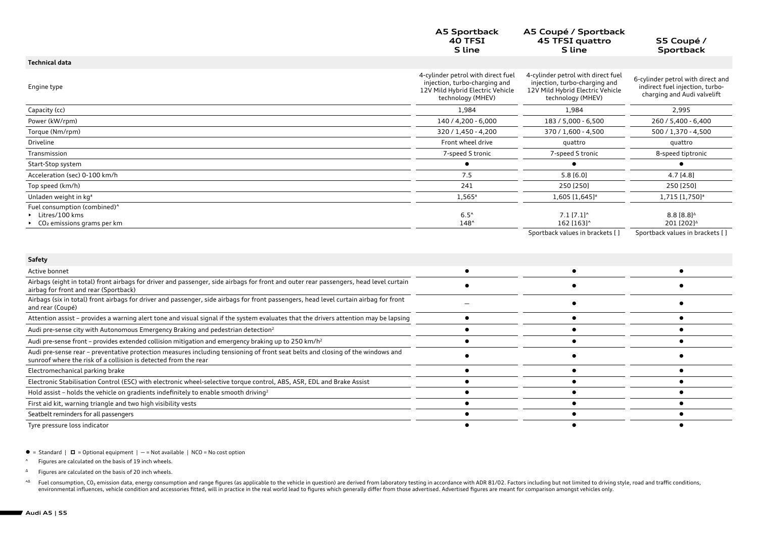|                                                                                                                                                                                                   | <b>A5 Sportback</b><br>40 TFSI<br>S line                                                                                     | A5 Coupé / Sportback<br>45 TFSI quattro<br>S line                                                                            | S5 Coupé /<br>Sportback                                                                             |
|---------------------------------------------------------------------------------------------------------------------------------------------------------------------------------------------------|------------------------------------------------------------------------------------------------------------------------------|------------------------------------------------------------------------------------------------------------------------------|-----------------------------------------------------------------------------------------------------|
| <b>Technical data</b>                                                                                                                                                                             |                                                                                                                              |                                                                                                                              |                                                                                                     |
| Engine type                                                                                                                                                                                       | 4-cylinder petrol with direct fuel<br>injection, turbo-charging and<br>12V Mild Hybrid Electric Vehicle<br>technology (MHEV) | 4-cylinder petrol with direct fuel<br>injection, turbo-charging and<br>12V Mild Hybrid Electric Vehicle<br>technology (MHEV) | 6-cylinder petrol with direct and<br>indirect fuel injection, turbo-<br>charging and Audi valvelift |
| Capacity (cc)                                                                                                                                                                                     | 1,984                                                                                                                        | 1,984                                                                                                                        | 2,995                                                                                               |
| Power (kW/rpm)                                                                                                                                                                                    | 140 / 4,200 - 6,000                                                                                                          | 183 / 5,000 - 6,500                                                                                                          | 260 / 5,400 - 6,400                                                                                 |
| Torque (Nm/rpm)                                                                                                                                                                                   | 320 / 1,450 - 4,200                                                                                                          | 370 / 1,600 - 4,500                                                                                                          | $500 / 1,370 - 4,500$                                                                               |
| Driveline                                                                                                                                                                                         | Front wheel drive                                                                                                            | quattro                                                                                                                      | quattro                                                                                             |
| Transmission                                                                                                                                                                                      | 7-speed S tronic                                                                                                             | 7-speed S tronic                                                                                                             | 8-speed tiptronic                                                                                   |
| Start-Stop system                                                                                                                                                                                 | $\bullet$                                                                                                                    |                                                                                                                              |                                                                                                     |
| Acceleration (sec) 0-100 km/h                                                                                                                                                                     | 7.5                                                                                                                          | 5.8[6.0]                                                                                                                     | 4.7[4.8]                                                                                            |
| Top speed (km/h)                                                                                                                                                                                  | 241                                                                                                                          | 250 [250]                                                                                                                    | 250 [250]                                                                                           |
| Unladen weight in kg <sup>#</sup>                                                                                                                                                                 | 1,565#                                                                                                                       | 1,605 [1,645]*                                                                                                               | 1,715 [1,750]*                                                                                      |
| Fuel consumption (combined)^<br>Litres/100 kms<br>$\triangleright$ CO <sub>2</sub> emissions grams per km                                                                                         | $6.5^{\circ}$<br>148^                                                                                                        | $7.1$ [7.1] <sup>^</sup><br>162 [163] <sup>^</sup>                                                                           | $8.8 [8.8]$ <sup><math>\triangle</math></sup><br>201 [202] <sup><math>\triangle</math></sup>        |
|                                                                                                                                                                                                   |                                                                                                                              | Sportback values in brackets []                                                                                              | Sportback values in brackets []                                                                     |
|                                                                                                                                                                                                   |                                                                                                                              |                                                                                                                              |                                                                                                     |
| <b>Safety</b>                                                                                                                                                                                     |                                                                                                                              |                                                                                                                              |                                                                                                     |
| Active bonnet                                                                                                                                                                                     | $\bullet$                                                                                                                    | $\bullet$                                                                                                                    | $\bullet$                                                                                           |
| Airbags (eight in total) front airbags for driver and passenger, side airbags for front and outer rear passengers, head level curtain<br>airbag for front and rear (Sportback)                    | $\bullet$                                                                                                                    | $\bullet$                                                                                                                    |                                                                                                     |
| Airbags (six in total) front airbags for driver and passenger, side airbags for front passengers, head level curtain airbag for front<br>and rear (Coupé)                                         |                                                                                                                              | $\bullet$                                                                                                                    |                                                                                                     |
| Attention assist - provides a warning alert tone and visual signal if the system evaluates that the drivers attention may be lapsing                                                              | $\bullet$                                                                                                                    | $\bullet$                                                                                                                    | $\bullet$                                                                                           |
| Audi pre-sense city with Autonomous Emergency Braking and pedestrian detection <sup>2</sup>                                                                                                       |                                                                                                                              | $\bullet$                                                                                                                    |                                                                                                     |
| Audi pre-sense front - provides extended collision mitigation and emergency braking up to 250 km/h <sup>2</sup>                                                                                   | $\bullet$                                                                                                                    | $\bullet$                                                                                                                    | $\bullet$                                                                                           |
| Audi pre-sense rear - preventative protection measures including tensioning of front seat belts and closing of the windows and<br>sunroof where the risk of a collision is detected from the rear |                                                                                                                              | $\bullet$                                                                                                                    |                                                                                                     |
| Electromechanical parking brake                                                                                                                                                                   |                                                                                                                              | $\bullet$                                                                                                                    |                                                                                                     |
| Electronic Stabilisation Control (ESC) with electronic wheel-selective torque control, ABS, ASR, EDL and Brake Assist                                                                             | $\bullet$                                                                                                                    | $\bullet$                                                                                                                    | $\bullet$                                                                                           |
| Hold assist - holds the vehicle on gradients indefinitely to enable smooth driving <sup>2</sup>                                                                                                   |                                                                                                                              | $\bullet$                                                                                                                    | $\bullet$                                                                                           |
| First aid kit, warning triangle and two high visibility vests                                                                                                                                     |                                                                                                                              | $\bullet$                                                                                                                    | $\bullet$                                                                                           |
| Seatbelt reminders for all passengers                                                                                                                                                             |                                                                                                                              | $\bullet$                                                                                                                    | $\bullet$                                                                                           |
| Tyre pressure loss indicator                                                                                                                                                                      | $\bullet$                                                                                                                    | $\bullet$                                                                                                                    | $\bullet$                                                                                           |

# $\bullet$  = Standard  $\mid$   $\Box$  = Optional equipment  $\mid$  - = Not available  $\mid$  NCO = No cost option

^ Figures are calculated on the basis of 19 inch wheels.

<sup>Δ</sup> Figures are calculated on the basis of 20 inch wheels.

<sup>^</sup> Fuel consumption, CO<sub>2</sub> emission data, energy consumption and range figures (as applicable to the vehicle in question) are derived from laboratory testing in accordance with ADR 81/02. Factors including but not limited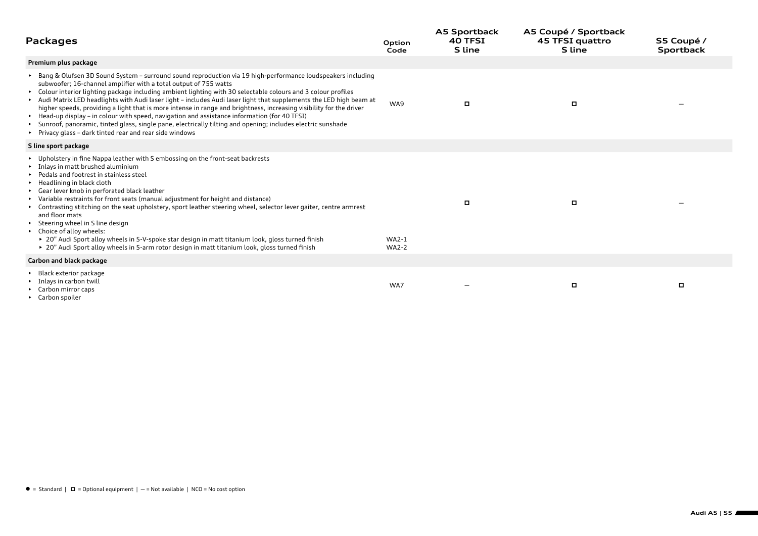| <b>Packages</b>                                                                                                                                                                                                                                                                                                                                                                                                                                                                                                                                                                                                                                                                                                                                                                                                                  | Option<br>Code               | A5 Sportback<br><b>40 TFSI</b><br>S line | A5 Coupé / Sportback<br>45 TFSI quattro<br>S line | S5 Coupé /<br>Sportback |
|----------------------------------------------------------------------------------------------------------------------------------------------------------------------------------------------------------------------------------------------------------------------------------------------------------------------------------------------------------------------------------------------------------------------------------------------------------------------------------------------------------------------------------------------------------------------------------------------------------------------------------------------------------------------------------------------------------------------------------------------------------------------------------------------------------------------------------|------------------------------|------------------------------------------|---------------------------------------------------|-------------------------|
| Premium plus package                                                                                                                                                                                                                                                                                                                                                                                                                                                                                                                                                                                                                                                                                                                                                                                                             |                              |                                          |                                                   |                         |
| ► Bang & Olufsen 3D Sound System – surround sound reproduction via 19 high-performance loudspeakers including<br>subwoofer; 16-channel amplifier with a total output of 755 watts<br>Colour interior lighting package including ambient lighting with 30 selectable colours and 3 colour profiles<br>۰.<br>Audi Matrix LED headlights with Audi laser light - includes Audi laser light that supplements the LED high beam at<br>higher speeds, providing a light that is more intense in range and brightness, increasing visibility for the driver<br>► Head-up display – in colour with speed, navigation and assistance information (for 40 TFSI)<br>> Sunroof, panoramic, tinted glass, single pane, electrically tilting and opening; includes electric sunshade<br>Privacy glass - dark tinted rear and rear side windows | WA9                          |                                          | о                                                 |                         |
| S line sport package                                                                                                                                                                                                                                                                                                                                                                                                                                                                                                                                                                                                                                                                                                                                                                                                             |                              |                                          |                                                   |                         |
| ► Upholstery in fine Nappa leather with S embossing on the front-seat backrests<br>Inlays in matt brushed aluminium<br>▶ Pedals and footrest in stainless steel<br>▶ Headlining in black cloth<br>• Gear lever knob in perforated black leather<br>> Variable restraints for front seats (manual adjustment for height and distance)<br>► Contrasting stitching on the seat upholstery, sport leather steering wheel, selector lever gaiter, centre armrest<br>and floor mats<br>> Steering wheel in S line design<br>• Choice of alloy wheels:<br>▶ 20" Audi Sport alloy wheels in 5-V-spoke star design in matt titanium look, gloss turned finish<br>▶ 20" Audi Sport alloy wheels in 5-arm rotor design in matt titanium look, gloss turned finish                                                                           | <b>WA2-1</b><br><b>WA2-2</b> |                                          | $\Box$                                            |                         |
| Carbon and black package                                                                                                                                                                                                                                                                                                                                                                                                                                                                                                                                                                                                                                                                                                                                                                                                         |                              |                                          |                                                   |                         |
| Black exterior package<br>• Inlays in carbon twill<br>• Carbon mirror caps<br>► Carbon spoiler                                                                                                                                                                                                                                                                                                                                                                                                                                                                                                                                                                                                                                                                                                                                   | WA7                          |                                          | о                                                 | o                       |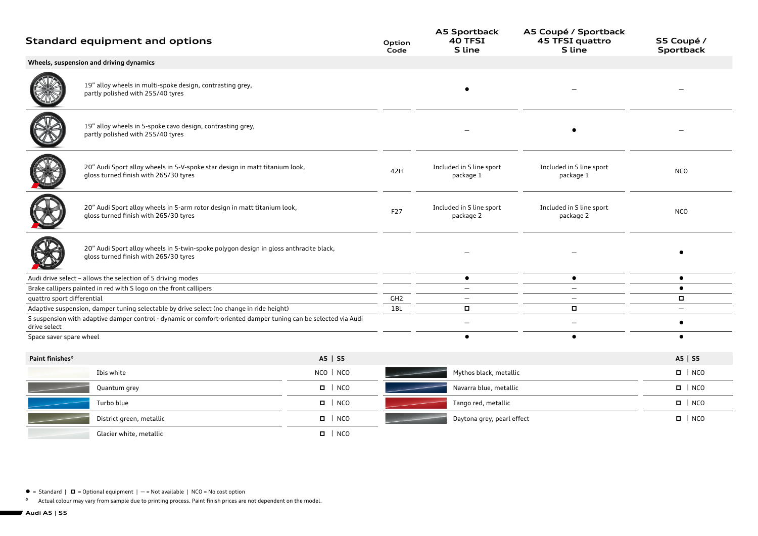|                                                                                          | <b>Standard equipment and options</b>                                                                                          |              | Option<br>Code  | <b>A5 Sportback</b><br>40 TFSI<br>S line | A5 Coupé / Sportback<br>45 TFSI quattro<br>S line | S5 Coupé /<br>Sportback |
|------------------------------------------------------------------------------------------|--------------------------------------------------------------------------------------------------------------------------------|--------------|-----------------|------------------------------------------|---------------------------------------------------|-------------------------|
|                                                                                          | Wheels, suspension and driving dynamics                                                                                        |              |                 |                                          |                                                   |                         |
|                                                                                          | 19" alloy wheels in multi-spoke design, contrasting grey,<br>partly polished with 255/40 tyres                                 |              |                 |                                          |                                                   |                         |
|                                                                                          | 19" alloy wheels in 5-spoke cavo design, contrasting grey,<br>partly polished with 255/40 tyres                                |              |                 |                                          |                                                   |                         |
|                                                                                          | 20" Audi Sport alloy wheels in 5-V-spoke star design in matt titanium look,<br>gloss turned finish with 265/30 tyres           |              | 42H             | Included in S line sport<br>package 1    | Included in S line sport<br>package 1             | <b>NCO</b>              |
|                                                                                          | 20" Audi Sport alloy wheels in 5-arm rotor design in matt titanium look,<br>gloss turned finish with 265/30 tyres              |              | F27             | Included in S line sport<br>package 2    | Included in S line sport<br>package 2             | <b>NCO</b>              |
|                                                                                          | 20" Audi Sport alloy wheels in 5-twin-spoke polygon design in gloss anthracite black,<br>gloss turned finish with 265/30 tyres |              |                 |                                          |                                                   | $\bullet$               |
|                                                                                          | Audi drive select - allows the selection of 5 driving modes                                                                    |              |                 | $\bullet$                                | $\bullet$                                         | $\bullet$               |
|                                                                                          | Brake callipers painted in red with S logo on the front callipers                                                              |              |                 |                                          |                                                   | $\bullet$               |
| quattro sport differential                                                               |                                                                                                                                |              | GH <sub>2</sub> | $\qquad \qquad -$                        | $\qquad \qquad -$                                 | П.                      |
| Adaptive suspension, damper tuning selectable by drive select (no change in ride height) |                                                                                                                                |              | 1BL             | $\Box$                                   |                                                   | $\equiv$                |
| drive select                                                                             | S suspension with adaptive damper control - dynamic or comfort-oriented damper tuning can be selected via Audi                 |              |                 |                                          | $\qquad \qquad -$                                 | $\bullet$               |
| Space saver spare wheel                                                                  |                                                                                                                                |              |                 | $\bullet$                                | $\bullet$                                         | $\bullet$               |
| Paint finishes <sup>®</sup>                                                              |                                                                                                                                | A5   S5      |                 |                                          |                                                   | A5   S5                 |
|                                                                                          | Ibis white                                                                                                                     | NCO   NCO    |                 | Mythos black, metallic                   |                                                   | $\Box$   NCO            |
|                                                                                          | Quantum grey                                                                                                                   | $\Box$ NCO   |                 | Navarra blue, metallic                   |                                                   | $\Box$   NCO            |
|                                                                                          | Turbo blue                                                                                                                     | $\Box$   NCO |                 | Tango red, metallic                      |                                                   | $\Box$   NCO            |
|                                                                                          | District green, metallic                                                                                                       | $\Box$   NCO |                 | Daytona grey, pearl effect               |                                                   | $\Box$   NCO            |
|                                                                                          | Glacier white, metallic                                                                                                        | $\Box$ NCO   |                 |                                          |                                                   |                         |

 $\bullet$  = Standard |  $\Box$  = Optional equipment | - = Not available | NCO = No cost option

**◊** Actual colour may vary from sample due to printing process. Paint finish prices are not dependent on the model.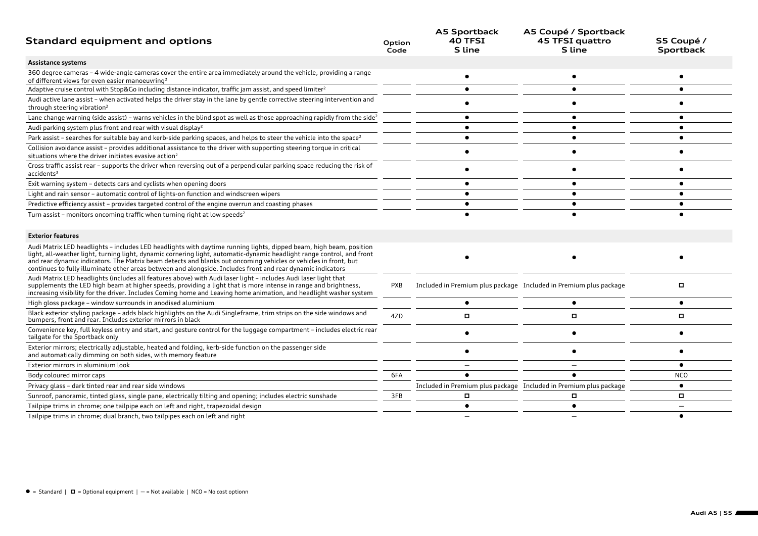| <b>Standard equipment and options</b>                                                                                                                                                                                                                                                                                                                                                                                                                                          | Option<br>Code | <b>A5 Sportback</b><br>40 TFSI<br>S line                          | A5 Coupé / Sportback<br>45 TFSI quattro<br>S line | S5 Coupé /<br>Sportback |
|--------------------------------------------------------------------------------------------------------------------------------------------------------------------------------------------------------------------------------------------------------------------------------------------------------------------------------------------------------------------------------------------------------------------------------------------------------------------------------|----------------|-------------------------------------------------------------------|---------------------------------------------------|-------------------------|
| Assistance systems                                                                                                                                                                                                                                                                                                                                                                                                                                                             |                |                                                                   |                                                   |                         |
| 360 degree cameras – 4 wide-angle cameras cover the entire area immediately around the vehicle, providing a range<br>of different views for even easier manoeuvring <sup>2</sup>                                                                                                                                                                                                                                                                                               |                |                                                                   |                                                   |                         |
| Adaptive cruise control with Stop&Go including distance indicator, traffic jam assist, and speed limiter <sup>2</sup>                                                                                                                                                                                                                                                                                                                                                          |                |                                                                   |                                                   |                         |
| Audi active lane assist - when activated helps the driver stay in the lane by gentle corrective steering intervention and<br>through steering vibration <sup>2</sup>                                                                                                                                                                                                                                                                                                           |                |                                                                   |                                                   |                         |
| Lane change warning (side assist) - warns vehicles in the blind spot as well as those approaching rapidly from the side <sup>2</sup>                                                                                                                                                                                                                                                                                                                                           |                |                                                                   | $\bullet$                                         |                         |
| Audi parking system plus front and rear with visual display <sup>2</sup>                                                                                                                                                                                                                                                                                                                                                                                                       |                |                                                                   |                                                   |                         |
| Park assist - searches for suitable bay and kerb-side parking spaces, and helps to steer the vehicle into the space <sup>2</sup>                                                                                                                                                                                                                                                                                                                                               |                |                                                                   |                                                   |                         |
| Collision avoidance assist - provides additional assistance to the driver with supporting steering torque in critical<br>situations where the driver initiates evasive action <sup>2</sup>                                                                                                                                                                                                                                                                                     |                |                                                                   |                                                   |                         |
| Cross traffic assist rear - supports the driver when reversing out of a perpendicular parking space reducing the risk of<br>accidents <sup>2</sup>                                                                                                                                                                                                                                                                                                                             |                |                                                                   |                                                   |                         |
| Exit warning system - detects cars and cyclists when opening doors                                                                                                                                                                                                                                                                                                                                                                                                             |                |                                                                   |                                                   |                         |
| Light and rain sensor - automatic control of lights-on function and windscreen wipers                                                                                                                                                                                                                                                                                                                                                                                          |                |                                                                   |                                                   |                         |
| Predictive efficiency assist - provides targeted control of the engine overrun and coasting phases                                                                                                                                                                                                                                                                                                                                                                             |                |                                                                   |                                                   |                         |
| Turn assist - monitors oncoming traffic when turning right at low speeds <sup>2</sup>                                                                                                                                                                                                                                                                                                                                                                                          |                |                                                                   |                                                   |                         |
| <b>Exterior features</b>                                                                                                                                                                                                                                                                                                                                                                                                                                                       |                |                                                                   |                                                   |                         |
| Audi Matrix LED headlights - includes LED headlights with daytime running lights, dipped beam, high beam, position<br>light, all-weather light, turning light, dynamic cornering light, automatic-dynamic headlight range control, and front<br>and rear dynamic indicators. The Matrix beam detects and blanks out oncoming vehicles or vehicles in front, but<br>continues to fully illuminate other areas between and alongside. Includes front and rear dynamic indicators |                |                                                                   |                                                   |                         |
| Audi Matrix LED headlights (includes all features above) with Audi laser light - includes Audi laser light that<br>supplements the LED high beam at higher speeds, providing a light that is more intense in range and brightness,<br>increasing visibility for the driver. Includes Coming home and Leaving home animation, and headlight washer system                                                                                                                       | <b>PXB</b>     | Included in Premium plus package Included in Premium plus package |                                                   | о                       |
| High gloss package - window surrounds in anodised aluminium                                                                                                                                                                                                                                                                                                                                                                                                                    |                |                                                                   | $\bullet$                                         |                         |
| Black exterior styling package - adds black highlights on the Audi Singleframe, trim strips on the side windows and<br>bumpers, front and rear. Includes exterior mirrors in black                                                                                                                                                                                                                                                                                             | 4ZD            | о                                                                 | о                                                 | о                       |
| Convenience key, full keyless entry and start, and gesture control for the luggage compartment - includes electric rear<br>tailgate for the Sportback only                                                                                                                                                                                                                                                                                                                     |                |                                                                   | $\bullet$                                         |                         |
| Exterior mirrors; electrically adjustable, heated and folding, kerb-side function on the passenger side<br>and automatically dimming on both sides, with memory feature                                                                                                                                                                                                                                                                                                        |                |                                                                   |                                                   |                         |
| Exterior mirrors in aluminium look                                                                                                                                                                                                                                                                                                                                                                                                                                             |                |                                                                   |                                                   |                         |
| Body coloured mirror caps                                                                                                                                                                                                                                                                                                                                                                                                                                                      | 6FA            |                                                                   |                                                   | <b>NCO</b>              |
| Privacy glass - dark tinted rear and rear side windows                                                                                                                                                                                                                                                                                                                                                                                                                         |                | Included in Premium plus package Included in Premium plus package |                                                   |                         |
| Sunroof, panoramic, tinted glass, single pane, electrically tilting and opening; includes electric sunshade                                                                                                                                                                                                                                                                                                                                                                    | 3FB            | о                                                                 | о                                                 | о                       |
| Tailpipe trims in chrome; one tailpipe each on left and right, trapezoidal design                                                                                                                                                                                                                                                                                                                                                                                              |                |                                                                   |                                                   |                         |
| Tailpipe trims in chrome; dual branch, two tailpipes each on left and right                                                                                                                                                                                                                                                                                                                                                                                                    |                |                                                                   |                                                   |                         |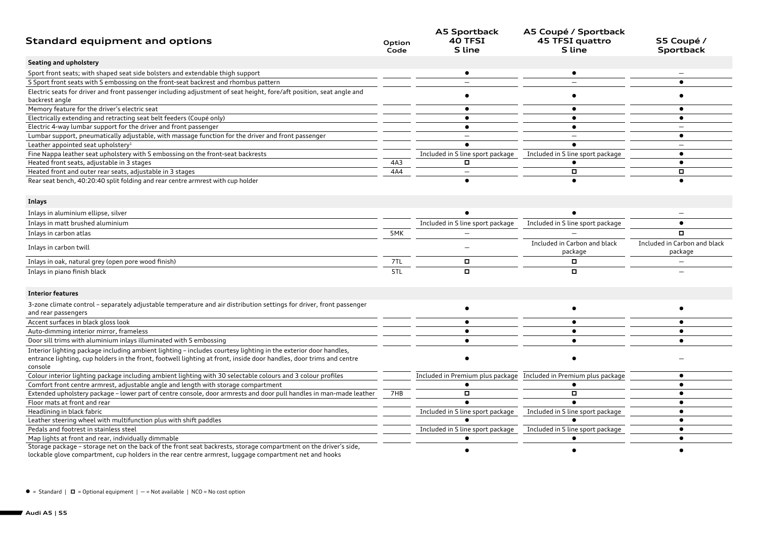| <b>Standard equipment and options</b>                                                                                                                                                                                                             | Option<br>Code | <b>A5 Sportback</b><br><b>40 TFSI</b><br>S line | A5 Coupé / Sportback<br>45 TFSI quattro<br>S line                 | S5 Coupé /<br>Sportback                 |
|---------------------------------------------------------------------------------------------------------------------------------------------------------------------------------------------------------------------------------------------------|----------------|-------------------------------------------------|-------------------------------------------------------------------|-----------------------------------------|
| Seating and upholstery                                                                                                                                                                                                                            |                |                                                 |                                                                   |                                         |
| Sport front seats; with shaped seat side bolsters and extendable thigh support                                                                                                                                                                    |                | $\bullet$                                       |                                                                   |                                         |
| S Sport front seats with S embossing on the front-seat backrest and rhombus pattern                                                                                                                                                               |                | $\overline{\phantom{0}}$                        |                                                                   | $\bullet$                               |
| Electric seats for driver and front passenger including adjustment of seat height, fore/aft position, seat angle and<br>backrest angle                                                                                                            |                |                                                 |                                                                   |                                         |
| Memory feature for the driver's electric seat                                                                                                                                                                                                     |                | $\bullet$                                       | $\bullet$                                                         | $\bullet$                               |
| Electrically extending and retracting seat belt feeders (Coupé only)                                                                                                                                                                              |                | $\bullet$                                       | $\bullet$                                                         | $\bullet$                               |
| Electric 4-way lumbar support for the driver and front passenger                                                                                                                                                                                  |                | $\bullet$                                       | $\bullet$                                                         |                                         |
| Lumbar support, pneumatically adjustable, with massage function for the driver and front passenger                                                                                                                                                |                |                                                 |                                                                   | $\bullet$                               |
| Leather appointed seat upholstery <sup>1</sup>                                                                                                                                                                                                    |                | $\bullet$                                       | $\bullet$                                                         |                                         |
| Fine Nappa leather seat upholstery with S embossing on the front-seat backrests                                                                                                                                                                   |                | Included in S line sport package                | Included in S line sport package                                  | $\bullet$                               |
| Heated front seats, adjustable in 3 stages                                                                                                                                                                                                        | 4A3            | о                                               |                                                                   | $\bullet$                               |
| Heated front and outer rear seats, adjustable in 3 stages                                                                                                                                                                                         | 4A4            |                                                 | Π.                                                                | $\Box$                                  |
| Rear seat bench, 40:20:40 split folding and rear centre armrest with cup holder                                                                                                                                                                   |                | $\bullet$                                       | $\bullet$                                                         |                                         |
| Inlays                                                                                                                                                                                                                                            |                |                                                 |                                                                   |                                         |
| Inlays in aluminium ellipse, silver                                                                                                                                                                                                               |                |                                                 |                                                                   |                                         |
| Inlays in matt brushed aluminium                                                                                                                                                                                                                  |                | Included in S line sport package                | Included in S line sport package                                  | $\bullet$                               |
| Inlays in carbon atlas                                                                                                                                                                                                                            | 5MK            |                                                 |                                                                   | о.                                      |
| Inlays in carbon twill                                                                                                                                                                                                                            |                |                                                 | Included in Carbon and black<br>package                           | Included in Carbon and black<br>package |
| Inlays in oak, natural grey (open pore wood finish)                                                                                                                                                                                               | 7TL            | $\Box$                                          | ۰                                                                 | $\overline{\phantom{0}}$                |
| Inlays in piano finish black                                                                                                                                                                                                                      | 5TL            | $\Box$                                          | $\Box$                                                            |                                         |
| <b>Interior features</b>                                                                                                                                                                                                                          |                |                                                 |                                                                   |                                         |
| 3-zone climate control - separately adjustable temperature and air distribution settings for driver, front passenger<br>and rear passengers                                                                                                       |                | $\bullet$                                       | $\bullet$                                                         | $\bullet$                               |
| Accent surfaces in black gloss look                                                                                                                                                                                                               |                | $\bullet$                                       | $\bullet$                                                         | $\bullet$                               |
| Auto-dimming interior mirror, frameless                                                                                                                                                                                                           |                | $\bullet$                                       | $\bullet$                                                         | $\bullet$                               |
| Door sill trims with aluminium inlays illuminated with S embossing                                                                                                                                                                                |                | $\bullet$                                       |                                                                   |                                         |
| Interior lighting package including ambient lighting - includes courtesy lighting in the exterior door handles,<br>entrance lighting, cup holders in the front, footwell lighting at front, inside door handles, door trims and centre<br>console |                |                                                 |                                                                   |                                         |
| Colour interior lighting package including ambient lighting with 30 selectable colours and 3 colour profiles                                                                                                                                      |                |                                                 | Included in Premium plus package Included in Premium plus package | $\bullet$                               |
| Comfort front centre armrest, adjustable angle and length with storage compartment                                                                                                                                                                |                | $\bullet$                                       |                                                                   | $\bullet$                               |
| Extended upholstery package - lower part of centre console, door armrests and door pull handles in man-made leather                                                                                                                               | 7HB            | $\Box$                                          | $\Box$                                                            | $\bullet$                               |
| Floor mats at front and rear                                                                                                                                                                                                                      |                |                                                 |                                                                   | $\bullet$                               |
| Headlining in black fabric                                                                                                                                                                                                                        |                | Included in S line sport package                | Included in S line sport package                                  | $\bullet$                               |
| Leather steering wheel with multifunction plus with shift paddles                                                                                                                                                                                 |                |                                                 |                                                                   | $\bullet$                               |
| Pedals and footrest in stainless steel                                                                                                                                                                                                            |                | Included in S line sport package                | Included in S line sport package                                  |                                         |
| Map lights at front and rear, individually dimmable                                                                                                                                                                                               |                |                                                 |                                                                   | $\bullet$                               |
| Storage package - storage net on the back of the front seat backrests, storage compartment on the driver's side,<br>lockable glove compartment, cup holders in the rear centre armrest, luggage compartment net and hooks                         |                |                                                 |                                                                   | $\bullet$                               |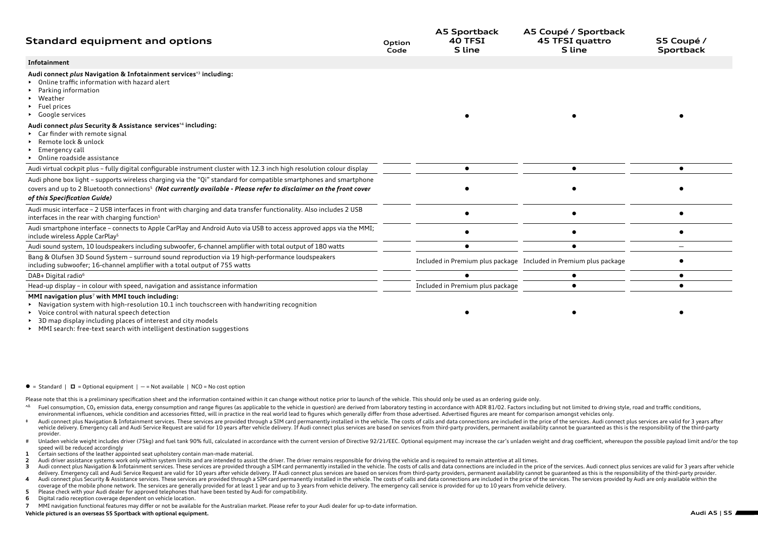| <b>Standard equipment and options</b>                                                                                                                                                                                                                                               | <b>A5 Sportback</b><br><b>40 TFSI</b><br>Option<br>S line<br>Code | A5 Coupé / Sportback<br>45 TFSI quattro<br>S line                 | S5 Coupé /<br>Sportback |
|-------------------------------------------------------------------------------------------------------------------------------------------------------------------------------------------------------------------------------------------------------------------------------------|-------------------------------------------------------------------|-------------------------------------------------------------------|-------------------------|
| Infotainment                                                                                                                                                                                                                                                                        |                                                                   |                                                                   |                         |
| Audi connect plus Navigation & Infotainment services <sup>+3</sup> including:<br>Online traffic information with hazard alert<br>Parking information<br>• Weather<br>$\blacktriangleright$ Fuel prices<br>• Google services                                                         |                                                                   |                                                                   |                         |
| Audi connect plus Security & Assistance services <sup>+4</sup> including:<br>Car finder with remote signal<br>▶ Remote lock & unlock<br>Emergency call<br>Online roadside assistance                                                                                                |                                                                   |                                                                   |                         |
| Audi virtual cockpit plus - fully digital configurable instrument cluster with 12.3 inch high resolution colour display                                                                                                                                                             |                                                                   |                                                                   |                         |
| Audi phone box light - supports wireless charging via the "Qi" standard for compatible smartphones and smartphone<br>covers and up to 2 Bluetooth connections <sup>5</sup> (Not currently available - Please refer to disclaimer on the front cover<br>of this Specification Guide) |                                                                   |                                                                   |                         |
| Audi music interface - 2 USB interfaces in front with charging and data transfer functionality. Also includes 2 USB<br>interfaces in the rear with charging function <sup>5</sup>                                                                                                   |                                                                   |                                                                   |                         |
| Audi smartphone interface - connects to Apple CarPlay and Android Auto via USB to access approved apps via the MMI;<br>include wireless Apple CarPlay <sup>5</sup>                                                                                                                  |                                                                   |                                                                   |                         |
| Audi sound system, 10 loudspeakers including subwoofer, 6-channel amplifier with total output of 180 watts                                                                                                                                                                          |                                                                   |                                                                   |                         |
| Bang & Olufsen 3D Sound System - surround sound reproduction via 19 high-performance loudspeakers<br>including subwoofer; 16-channel amplifier with a total output of 755 watts                                                                                                     |                                                                   | Included in Premium plus package Included in Premium plus package |                         |
| DAB+ Digital radio <sup>6</sup>                                                                                                                                                                                                                                                     |                                                                   |                                                                   |                         |
| Head-up display – in colour with speed, navigation and assistance information                                                                                                                                                                                                       | Included in Premium plus package                                  |                                                                   |                         |

#### **MMI navigation plus**7 **with MMI touch including:**

• Navigation system with high-resolution 10.1 inch touchscreen with handwriting recognition

• Voice control with natural speech detection

• 3D map display including places of interest and city models

• MMI search: free-text search with intelligent destination suggestions

#### $\bullet$  = Standard  $\mid$   $\Box$  = Optional equipment  $\mid$   $-$  = Not available  $\mid$  NCO = No cost option

Please note that this is a preliminary specification sheet and the information contained within it can change without notice prior to launch of the vehicle. This should only be used as an ordering quide only.

- A Fuel consumption, CO<sub>2</sub> emission data, energy consumption and range figures (as applicable to the vehicle in question) are derived from laboratory testing in accordance with ADR 81/02. Factors including but not limited t environmental influences, vehicle condition and accessories fitted, will in practice in the real world lead to figures which generally differ from those advertised. Advertised figures are meant for comparison amongst vehic
- \* Audi connect plus Navigation & Infotainment services. These services are provided through a SIM card permanently installed in the vehicle. The costs of calls and data connections are included in the price of the services vehicle delivery. Emergency call and Audi Service Request are valid for 10 years after vehicle delivery. If Audi connect plus services are based on services from third-party providers, permanent availability cannot be quar provider.
- # Unladen vehicle weight includes driver (75kg) and fuel tank 90% full, calculated in accordance with the current version of Directive 92/21/EEC. Optional equipment may increase the car's unladen weight and drag coefficien speed will be reduced accordingly
- **1** Certain sections of the leather appointed seat upholstery contain man-made material.
- **2** Audi driver assistance systems work only within system limits and are intended to assist the driver. The driver remains responsible for driving the vehicle and is required to remain attentive at all times.
- 3 Audi connect plus Navigation & Infotainment services. These services are provided through a SIM card permanently installed in the vehicle. The costs of calls and data connections are included in the price of the services delivery. Emergency call and Audi Service Request are valid for 10 years after vehicle delivery. If Audi connect plus services are based on services from third-party providers, permanent availability cannot be quaranteed a
- Audi connect plus Security & Assistance services. These services are provided through a SIM card permanently installed in the vehicle. The costs of calls and data connections are included in the price of the services. The coverage of the mobile phone network. The services are generally provided for at least 1 year and up to 3 years from vehicle delivery. The emergency call service is provided for up to 10 years from vehicle delivery.
- **5** Please check with your Audi dealer for approved telephones that have been tested by Audi for compatibility.
- **6** Digital radio reception coverage dependent on vehicle location.
- **7** MMI navigation functional features may differ or not be available for the Australian market. Please refer to your Audi dealer for up-to-date information.

## **Vehicle pictured is an overseas S5 Sportback with optional equipment.**

 $\bullet$  later  $\bullet$  later  $\bullet$  later  $\bullet$